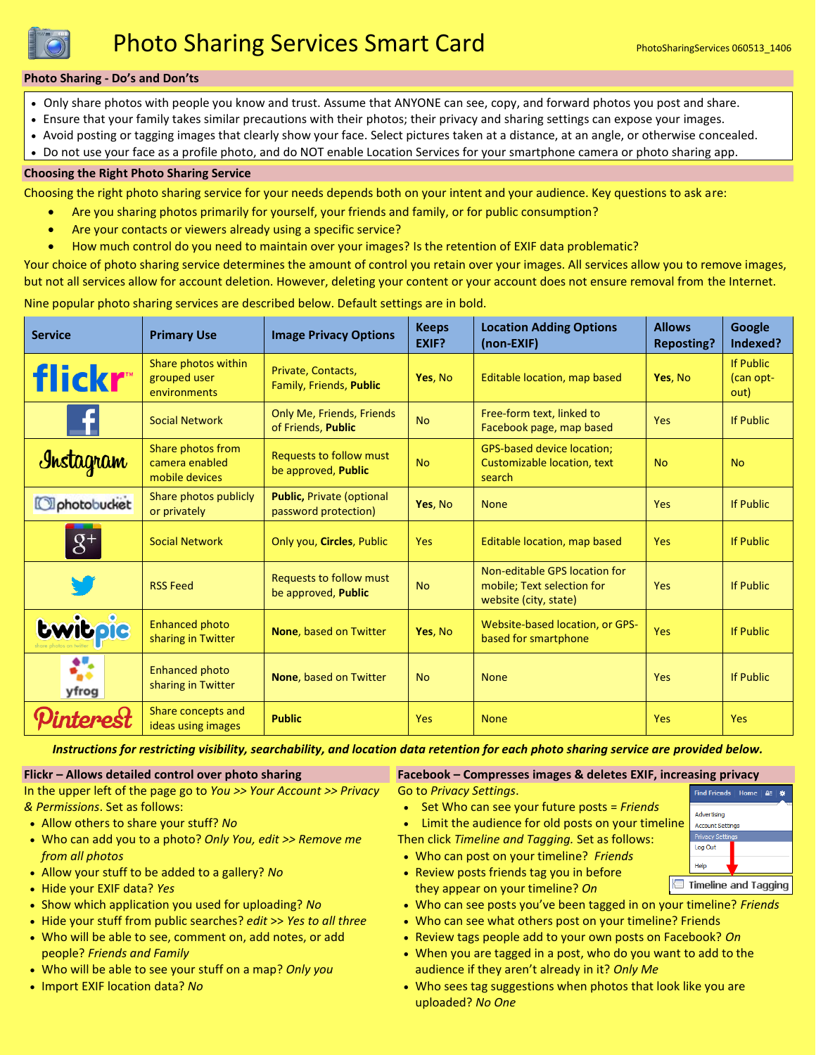

#### **Photo Sharing - Do's and Don'ts**

- Only share photos with people you know and trust. Assume that ANYONE can see, copy, and forward photos you post and share.
- Ensure that your family takes similar precautions with their photos; their privacy and sharing settings can expose your images.
- Avoid posting or tagging images that clearly show your face. Select pictures taken at a distance, at an angle, or otherwise concealed.
- Do not use your face as a profile photo, and do NOT enable Location Services for your smartphone camera or photo sharing app.

#### **Choosing the Right Photo Sharing Service**

Choosing the right photo sharing service for your needs depends both on your intent and your audience. Key questions to ask are:

- Are you sharing photos primarily for yourself, your friends and family, or for public consumption?
- Are your contacts or viewers already using a specific service?
- How much control do you need to maintain over your images? Is the retention of EXIF data problematic?

Your choice of photo sharing service determines the amount of control you retain over your images. All services allow you to remove images, but not all services allow for account deletion. However, deleting your content or your account does not ensure removal from the Internet.

Nine popular photo sharing services are described below. Default settings are in bold.

| <b>Service</b>      | <b>Primary Use</b>                                    | <b>Image Privacy Options</b>                              | <b>Keeps</b><br>EXIF? | <b>Location Adding Options</b><br>(non-EXIF)                                         | <b>Allows</b><br><b>Reposting?</b> | Google<br>Indexed?                    |
|---------------------|-------------------------------------------------------|-----------------------------------------------------------|-----------------------|--------------------------------------------------------------------------------------|------------------------------------|---------------------------------------|
| flickr <sup>*</sup> | Share photos within<br>grouped user<br>environments   | Private, Contacts,<br>Family, Friends, Public             | Yes, No               | Editable location, map based                                                         | Yes, No                            | <b>If Public</b><br>(can opt-<br>out) |
| H                   | <b>Social Network</b>                                 | Only Me, Friends, Friends<br>of Friends, Public           | <b>No</b>             | Free-form text, linked to<br>Facebook page, map based                                | Yes                                | <b>If Public</b>                      |
| Instagram           | Share photos from<br>camera enabled<br>mobile devices | <b>Requests to follow must</b><br>be approved, Public     | <b>No</b>             | <b>GPS-based device location;</b><br>Customizable location, text<br>search           | <b>No</b>                          | <b>No</b>                             |
| Ophotobucket        | Share photos publicly<br>or privately                 | <b>Public, Private (optional)</b><br>password protection) | Yes, No               | <b>None</b>                                                                          | <b>Yes</b>                         | <b>If Public</b>                      |
| $8+$                | <b>Social Network</b>                                 | Only you, Circles, Public                                 | Yes                   | Editable location, map based                                                         | <b>Yes</b>                         | <b>If Public</b>                      |
|                     | <b>RSS Feed</b>                                       | <b>Requests to follow must</b><br>be approved, Public     | <b>No</b>             | Non-editable GPS location for<br>mobile; Text selection for<br>website (city, state) | <b>Yes</b>                         | <b>If Public</b>                      |
| <b>Lwitpie</b>      | <b>Enhanced photo</b><br>sharing in Twitter           | None, based on Twitter                                    | Yes, No               | Website-based location, or GPS-<br>based for smartphone                              | Yes                                | <b>If Public</b>                      |
| ₩<br>yfrog          | <b>Enhanced photo</b><br>sharing in Twitter           | None, based on Twitter                                    | <b>No</b>             | <b>None</b>                                                                          | <b>Yes</b>                         | <b>If Public</b>                      |
| terest              | Share concepts and<br>ideas using images              | <b>Public</b>                                             | Yes                   | <b>None</b>                                                                          | Yes                                | Yes                                   |

*Instructions for restricting visibility, searchability, and location data retention for each photo sharing service are provided below.*

Go to *Privacy Settings*.

#### **Flickr – Allows detailed control over photo sharing**

In the upper left of the page go to *You >> Your Account >> Privacy & Permissions*. Set as follows:

- Allow others to share your stuff? *No*
- Who can add you to a photo? *Only You, edit >> Remove me from all photos*
- Allow your stuff to be added to a gallery? *No*
- Hide your EXIF data? *Yes*
- Show which application you used for uploading? *No*
- Hide your stuff from public searches? *edit* >> *Yes to all three*
- Who will be able to see, comment on, add notes, or add people? *Friends and Family*
- Who will be able to see your stuff on a map? *Only you*
- Import EXIF location data? *No*
- **Facebook – Compresses images & deletes EXIF, increasing privacy**
- Set Who can see your future posts = *Friends*
- Limit the audience for old posts on your timeline
- Then click *Timeline and Tagging.* Set as follows:
- Who can post on your timeline? *Friends* • Review posts friends tag you in before
- they appear on your timeline? *On*
- Who can see posts you've been tagged in on your timeline? *Friends*
- Who can see what others post on your timeline? Friends
- Review tags people add to your own posts on Facebook? *On*
- When you are tagged in a post, who do you want to add to the audience if they aren't already in it? *Only Me*
- Who sees tag suggestions when photos that look like you are uploaded? *No One*

| .<br>. |                                        |  |  |  |  |  |
|--------|----------------------------------------|--|--|--|--|--|
| e      | Find Friends   Home   A<br>雀           |  |  |  |  |  |
|        | Advertising<br><b>Account Settings</b> |  |  |  |  |  |
|        | <b>Privacy Settings</b>                |  |  |  |  |  |
|        | Log Out                                |  |  |  |  |  |
|        | Help                                   |  |  |  |  |  |
|        | <b>Timeline and Tagging</b>            |  |  |  |  |  |

K